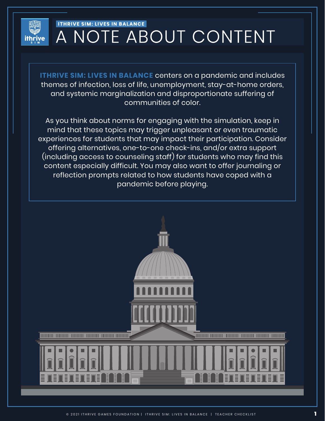

# **ITHRIVE SIM: LIVES IN BALANCE** A NOTE ABOUT CONTENT

**ITHRIVE SIM: LIVES IN BALANCE** centers on a pandemic and includes themes of infection, loss of life, unemployment, stay-at-home orders, and systemic marginalization and disproportionate suffering of communities of color.

As you think about norms for engaging with the simulation, keep in mind that these topics may trigger unpleasant or even traumatic experiences for students that may impact their participation. Consider offering alternatives, one-to-one check-ins, and/or extra support (including access to counseling staff) for students who may find this content especially difficult. You may also want to offer journaling or reflection prompts related to how students have coped with a pandemic before playing.

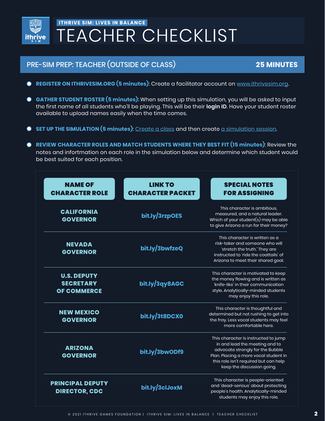

# **ITHRIVE SIM: LIVES IN BALANCE TEACHER CHECKLIST**

## PRE-SIM PREP: TEACHER (OUTSIDE OF CLASS) **25 MINUTES**

- **C** REGISTER ON ITHRIVESIM.ORG (5 minutes): Create a facilitator account on [www.ithrivesim.org.](www.ithrivesim.org)
- **GATHER STUDENT ROSTER (5 minutes):** When setting up this simulation, you will be asked to input  $\bullet$ the first name of all students who'll be playing. This will be their **login ID**. Have your student roster available to upload names easily when the time comes.
- **SET UP THE SIMULATION (5 minutes)**: [Create a class](https://ithrivegames.notion.site/Create-a-Class-9b7fdede6e744da58ba7c1d27eb9d3da) and then create [a simulation session.](https://ithrivegames.notion.site/Create-a-Simulation-Session-d7e00b9e0e5e452e9e2ee7756182eca1)
- **REVIEW CHARACTER ROLES AND MATCH STUDENTS WHERE THEY BEST FIT (15 minutes)**: Review the notes and infortmation on each role in the simulation below and determine which student would be best suited for each position.

| <b>NAME OF</b><br><b>CHARACTER ROLE</b>                      | <b>LINK TO</b><br><b>CHARACTER PACKET</b> | <b>SPECIAL NOTES</b><br><b>FOR ASSIGNING</b>                                                                                                                                                                               |
|--------------------------------------------------------------|-------------------------------------------|----------------------------------------------------------------------------------------------------------------------------------------------------------------------------------------------------------------------------|
| <b>CALIFORNIA</b><br><b>GOVERNOR</b>                         | bit.ly/3rzpOES                            | This character is ambitious.<br>measured, and a natural leader.<br>Which of your student $(s)$ may be able<br>to give Arizona a run for their money?                                                                       |
| <b>NEVADA</b><br><b>GOVERNOR</b>                             | bit.ly/3bwfzeQ                            | This character is written as a<br>risk-taker and someone who will<br>'stretch the truth.' They are<br>instructed to 'ride the coattails' of<br>Arizona to meet their shared goal.                                          |
| <b>U.S. DEPUTY</b><br><b>SECRETARY</b><br><b>OF COMMERCE</b> | bit.ly/3qy8AGC                            | This character is motivated to keep<br>the money flowing and is written as<br>'knife-like' in their communication<br>style. Analytically-minded students<br>may enjoy this role.                                           |
| <b>NEW MEXICO</b><br><b>GOVERNOR</b>                         | bit.ly/3t8DCX0                            | This character is thoughtful and<br>determined but not rushing to get into<br>the fray. Less vocal students may feel<br>more comfortable here.                                                                             |
| <b>ARIZONA</b><br><b>GOVERNOR</b>                            | bit.ly/3bwODf9                            | This character is instructed to jump<br>in and lead the meeting and to<br>advocate strongly for the Bubble<br>Plan. Placing a more vocal student in<br>this role isn't required but can help<br>keep the discussion going. |
| <b>PRINCIPAL DEPUTY</b><br><b>DIRECTOR, CDC</b>              | bit.ly/3clJoxM                            | This character is people-oriented<br>and 'dead-serious' about protecting<br>people's health. Analytically-minded<br>students may enjoy this role.                                                                          |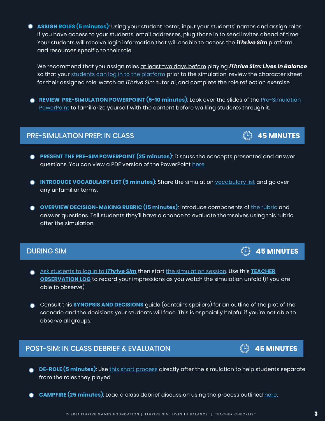**ASSIGN ROLES (5 minutes)**: Using your student roster, input your students' names and assign roles. If you have access to your students' email addresses, plug those in to send invites ahead of time. Your students will receive login information that will enable to access the *iThrive Sim* platform and resources specific to their role.

We recommend that you assign roles at least two days before playing *iThrive Sim: Lives in Balance* so that your [students can log in to the platform](https://ithrivegames.notion.site/Get-Students-Logged-in-d04caec1a0e5402b82c9afa406f6c6f1) prior to the simulation, review the character sheet for their assigned role, watch an *iThrive Sim* tutorial, and complete the role reflection exercise.

**REVIEW PRE-SIMULATION POWERPOINT (5-10 minutes)**: Look over the slides of the [Pre-Simulation](https://docs.google.com/presentation/d/1R9MuxMsqdOfhN7d3fGiDeSw-ODtVIr7s/edit?usp=sharing&ouid=103568329608224114613&rtpof=true&sd=true) [PowerPoint](https://docs.google.com/presentation/d/1R9MuxMsqdOfhN7d3fGiDeSw-ODtVIr7s/edit?usp=sharing&ouid=103568329608224114613&rtpof=true&sd=true) to familiarize yourself with the content before walking students through it.

#### PRE-SIMULATION PREP: IN CLASS

- **PRESENT THE PRE-SIM POWERPOINT (25 minutes)**: Discuss the concepts presented and answer questions. You can view a PDF version of the PowerPoint [here.](https://ithrivegames.org/wp-content/uploads/2021/10/iThrive-Sim_-Lives-in-Balance-Pre-Sim-PowerPoint.pdf)
- **INTRODUCE VOCABULARY LIST (5 minutes)**: Share the simulation [vocabulary list](https://ithrivegames.org/wp-content/uploads/2021/03/Vocabulary-List.pdf) and go over any unfamiliar terms.
- **OVERVIEW DECISION-MAKING RUBRIC (15 minutes)**: Introduce components of the [rubric](https://ithrivegames.org/wp-content/uploads/2021/03/Decision-Making-Rubric.pdf) and answer questions. Tell students they'll have a chance to evaluate themselves using this rubric after the simulation.

#### DURING SIM

- [Ask students to log in](https://ithrivegames.notion.site/Get-Students-Logged-in-d04caec1a0e5402b82c9afa406f6c6f1) to *iThrive Sim* then start [the simulation](https://ithrivegames.notion.site/Start-a-Simulation-Session-b58fbf5929a94e698835e24bc50e4be8) session. Use this **[TEACHER](https://ithrivegames.org/wp-content/uploads/2021/03/Teacher-Observation-Log.pdf) [OBSERVATION](https://ithrivegames.org/wp-content/uploads/2021/03/Teacher-Observation-Log.pdf) LOG** to record your impressions as you watch the simulation unfold (if you are able to observe).
- Consult this **SYNOPSIS AND [DECISIONS](https://ithrivegames.org/wp-content/uploads/2021/03/Synopsis-and-Decisions.pdf)** guide (contains spoilers) for an outline of the plot of the scenario and the decisions your students will face. This is especially helpful if you're not able to observe all groups.

#### POST-SIM: IN CLASS DEBRIEF & EVALUATION

- **DE-ROLE (5 minutes)**: Use [this short process](https://ithrivegames.org/wp-content/uploads/2021/03/Post-Sim-De-Role-Process.pdf) directly after the simulation to help students separate from the roles they played.
- **CAMPFIRE (25 minutes)**: Lead a class debrief discussion using the process outlined [here.](https://ithrivegames.org/wp-content/uploads/2021/03/Post-Sim-Campfire.pdf)





 $\begin{array}{cc} \textcircled{\tiny{\textcircled{\tiny{+}}}} & \text{45 MINUTES} \end{array}$ 

**45 MINUTES**